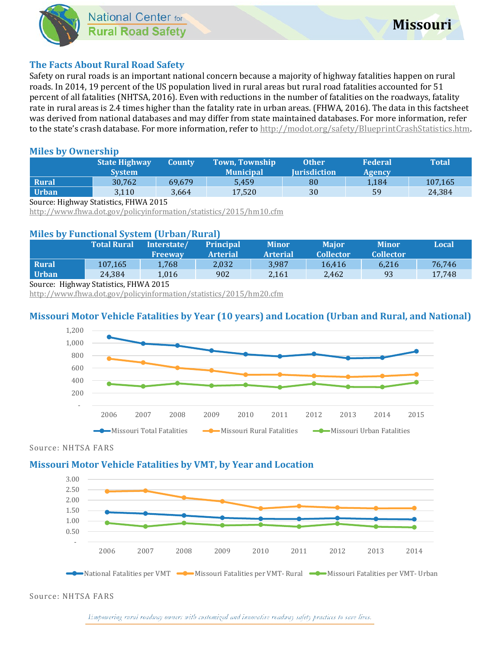### **The Facts About Rural Road Safety**

Safety on rural roads is an important national concern because a majority of highway fatalities happen on rural roads. In 2014, 19 percent of the US population lived in rural areas but rural road fatalities accounted for 51 percent of all fatalities (NHTSA, 2016). Even with reductions in the number of fatalities on the roadways, fatality rate in rural areas is 2.4 times higher than the fatality rate in urban areas. (FHWA, 2016). The data in this factsheet was derived from national databases and may differ from state maintained databases. For more information, refer to the state's crash database. For more information, refer t[o http://modot.org/safety/BlueprintCrashStatistics.htm.](http://modot.org/safety/BlueprintCrashStatistics.htm)

### **Miles by Ownership**

|              | <b>State Highway</b><br><b>System</b> | County | <b>Town, Township</b><br><b>Municipal</b> | <b>Other</b><br><b>Iurisdiction</b> | <b>Federal</b><br>Agency | Total   |
|--------------|---------------------------------------|--------|-------------------------------------------|-------------------------------------|--------------------------|---------|
| <b>Rural</b> | 30.762                                | 69.679 | 5.459                                     | 80                                  | 1,184                    | 107,165 |
| Urban        | 3,110                                 | 3,664  | 17,520                                    | 30                                  | 59                       | 24,384  |

Source: Highway Statistics, FHWA 2015

<http://www.fhwa.dot.gov/policyinformation/statistics/2015/hm10.cfm>

### **Miles by Functional System (Urban/Rural)**

|                                                                                                                    | <b>Total Rural</b> | Interstate/<br><b>Freeway</b> | <b>Principal</b><br><b>Arterial</b> | <b>Minor</b><br><b>Arterial</b> | <b>Maior</b><br><b>Collector</b> | <b>Minor</b><br><b>Collector</b> | Local  |  |  |  |  |
|--------------------------------------------------------------------------------------------------------------------|--------------------|-------------------------------|-------------------------------------|---------------------------------|----------------------------------|----------------------------------|--------|--|--|--|--|
| <b>Rural</b>                                                                                                       | 107.165            | 1.768                         | 2.032                               | 3.987                           | 16.416                           | 6.216                            | 76.746 |  |  |  |  |
| <b>Urban</b>                                                                                                       | 24.384             | 1.016                         | 902                                 | 2,161                           | 2.462                            | 93                               | 17.748 |  |  |  |  |
| $C = \mathbf{H} \cdot \mathbf{1}$ $C_{\mathbf{H}} \cdot \mathbf{1}$ $\mathbf{H} \cdot \mathbf{H} \cdot \mathbf{1}$ |                    |                               |                                     |                                 |                                  |                                  |        |  |  |  |  |

#### Source: Highway Statistics, FHWA 2015

<http://www.fhwa.dot.gov/policyinformation/statistics/2015/hm20.cfm>

### **Missouri Motor Vehicle Fatalities by Year (10 years) and Location (Urban and Rural, and National)**



#### Source: NHTSA FARS

### **Missouri Motor Vehicle Fatalities by VMT, by Year and Location**



Source: NHTSA FARS

Empowering rural roadway owners with customized and innovative roadway safety practices to save lives.